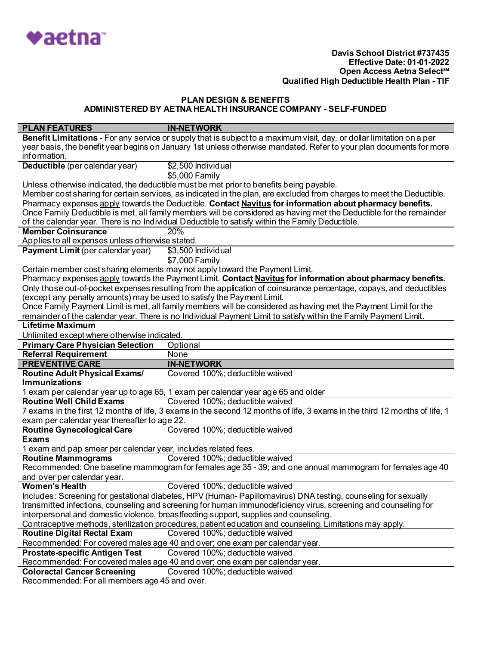

| <b>PLAN FEATURES</b>                                                   | <b>IN-NETWORK</b>                                                                                                          |
|------------------------------------------------------------------------|----------------------------------------------------------------------------------------------------------------------------|
|                                                                        | Benefit Limitations - For any service or supply that is subject to a maximum visit, day, or dollar limitation on a per     |
|                                                                        | year basis, the benefit year begins on January 1st unless otherwise mandated. Refer to your plan documents for more        |
| information.                                                           |                                                                                                                            |
| Deductible (per calendar year)                                         | \$2,500 Individual                                                                                                         |
|                                                                        | \$5,000 Family                                                                                                             |
|                                                                        | Unless otherwise indicated, the deductible must be met prior to benefits being payable.                                    |
|                                                                        | Member cost sharing for certain services, as indicated in the plan, are excluded from charges to meet the Deductible.      |
|                                                                        | Pharmacy expenses apply towards the Deductible. Contact Navitus for information about pharmacy benefits.                   |
|                                                                        | Once Family Deductible is met, all family members will be considered as having met the Deductible for the remainder        |
|                                                                        | of the calendar year. There is no Individual Deductible to satisfy within the Family Deductible.                           |
| <b>Member Coinsurance</b>                                              | 20%                                                                                                                        |
| Applies to all expenses unless otherwise stated.                       |                                                                                                                            |
| Payment Limit (per calendar year)                                      | \$3,500 Individual                                                                                                         |
|                                                                        | \$7,000 Family                                                                                                             |
|                                                                        | Certain member cost sharing elements may not apply toward the Payment Limit.                                               |
|                                                                        | Pharmacy expenses apply towards the Payment Limit. Contact Navitus for information about pharmacy benefits.                |
|                                                                        | Only those out-of-pocket expenses resulting from the application of coinsurance percentage, copays, and deductibles        |
| (except any penalty amounts) may be used to satisfy the Payment Limit. |                                                                                                                            |
|                                                                        | Once Family Payment Limit is met, all family members will be considered as having met the Payment Limit for the            |
|                                                                        | remainder of the calendar year. There is no Individual Payment Limit to satisfy within the Family Payment Limit.           |
| <b>Lifetime Maximum</b>                                                |                                                                                                                            |
| Unlimited except where otherwise indicated.                            |                                                                                                                            |
| <b>Primary Care Physician Selection</b>                                | Optional                                                                                                                   |
| <b>Referral Requirement</b>                                            | None                                                                                                                       |
| <b>PREVENTIVE CARE</b>                                                 | <b>IN-NETWORK</b>                                                                                                          |
| <b>Routine Adult Physical Exams/</b>                                   | Covered 100%; deductible waived                                                                                            |
| <b>Immunizations</b>                                                   |                                                                                                                            |
|                                                                        | 1 exam per calendar year up to age 65, 1 exam per calendar year age 65 and older                                           |
| <b>Routine Well Child Exams</b>                                        | Covered 100%; deductible waived                                                                                            |
|                                                                        | 7 exams in the first 12 months of life, 3 exams in the second 12 months of life, 3 exams in the third 12 months of life, 1 |
| exam per calendar year thereafter to age 22.                           |                                                                                                                            |
| <b>Routine Gynecological Care</b>                                      | Covered 100%; deductible waived                                                                                            |
| <b>Exams</b>                                                           |                                                                                                                            |
| 1 exam and pap smear per calendar year, includes related fees.         |                                                                                                                            |
| <b>Routine Mammograms</b>                                              | Covered 100%; deductible waived                                                                                            |
|                                                                        | Recommended: One baseline mammogram for females age 35 - 39; and one annual mammogram for females age 40                   |
| and over per calendar year.                                            |                                                                                                                            |
| <b>Women's Health</b>                                                  | Covered 100%; deductible waived                                                                                            |
|                                                                        | Includes: Screening for gestational diabetes, HPV (Human-Papillomavirus) DNA testing, counseling for sexually              |
|                                                                        | transmitted infections, counseling and screening for human immunodeficiency virus, screening and counseling for            |
|                                                                        | interpersonal and domestic violence, breastfeeding support, supplies and counseling.                                       |
|                                                                        | Contraceptive methods, sterilization procedures, patient education and counseling. Limitations may apply.                  |
| <b>Routine Digital Rectal Exam</b>                                     | Covered 100%; deductible waived                                                                                            |
|                                                                        | Recommended: For covered males age 40 and over; one exam per calendar year.                                                |
| <b>Prostate-specific Antigen Test</b>                                  | Covered 100%; deductible waived                                                                                            |
|                                                                        | Recommended: For covered males age 40 and over; one exam per calendar year.                                                |
| <b>Colorectal Cancer Screening</b>                                     | Covered 100%; deductible waived                                                                                            |
| Recommended: For all members age 45 and over.                          |                                                                                                                            |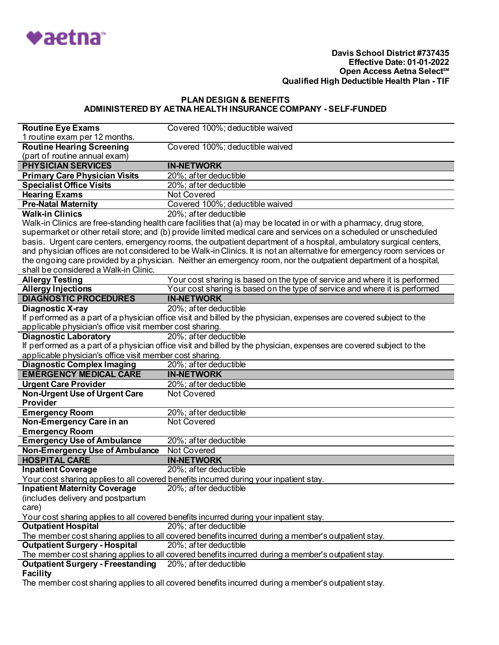

| <b>Routine Eye Exams</b>                                                                            | Covered 100%; deductible waived                                                                                                                                                                                                           |  |
|-----------------------------------------------------------------------------------------------------|-------------------------------------------------------------------------------------------------------------------------------------------------------------------------------------------------------------------------------------------|--|
| 1 routine exam per 12 months.                                                                       |                                                                                                                                                                                                                                           |  |
| <b>Routine Hearing Screening</b>                                                                    | Covered 100%; deductible waived                                                                                                                                                                                                           |  |
| (part of routine annual exam)                                                                       |                                                                                                                                                                                                                                           |  |
| <b>PHYSICIAN SERVICES</b>                                                                           | <b>IN-NETWORK</b>                                                                                                                                                                                                                         |  |
| <b>Primary Care Physician Visits</b>                                                                | 20%; after deductible                                                                                                                                                                                                                     |  |
| <b>Specialist Office Visits</b>                                                                     | 20%; after deductible                                                                                                                                                                                                                     |  |
| <b>Hearing Exams</b>                                                                                | <b>Not Covered</b>                                                                                                                                                                                                                        |  |
| <b>Pre-Natal Maternity</b>                                                                          | Covered 100%; deductible waived                                                                                                                                                                                                           |  |
| <b>Walk-in Clinics</b>                                                                              | 20%; after deductible                                                                                                                                                                                                                     |  |
|                                                                                                     |                                                                                                                                                                                                                                           |  |
|                                                                                                     | Walk-in Clinics are free-standing health care facilities that (a) may be located in or with a pharmacy, drug store,<br>supermarket or other retail store; and (b) provide limited medical care and services on a scheduled or unscheduled |  |
|                                                                                                     |                                                                                                                                                                                                                                           |  |
|                                                                                                     | basis. Urgent care centers, emergency rooms, the outpatient department of a hospital, ambulatory surgical centers,                                                                                                                        |  |
|                                                                                                     | and physician offices are not considered to be Walk-in Clinics. It is not an alternative for emergency room services or                                                                                                                   |  |
|                                                                                                     | the ongoing care provided by a physician. Neither an emergency room, nor the outpatient department of a hospital,                                                                                                                         |  |
| shall be considered a Walk-in Clinic.                                                               |                                                                                                                                                                                                                                           |  |
| <b>Allergy Testing</b>                                                                              | Your cost sharing is based on the type of service and where it is performed                                                                                                                                                               |  |
| <b>Allergy Injections</b>                                                                           | Your cost sharing is based on the type of service and where it is performed                                                                                                                                                               |  |
| <b>DIAGNOSTIC PROCEDURES</b>                                                                        | <b>IN-NETWORK</b>                                                                                                                                                                                                                         |  |
| <b>Diagnostic X-ray</b>                                                                             | 20%; after deductible                                                                                                                                                                                                                     |  |
|                                                                                                     | If performed as a part of a physician office visit and billed by the physician, expenses are covered subject to the                                                                                                                       |  |
| applicable physician's office visit member cost sharing.                                            |                                                                                                                                                                                                                                           |  |
| <b>Diagnostic Laboratory</b>                                                                        | 20%; after deductible                                                                                                                                                                                                                     |  |
|                                                                                                     | If performed as a part of a physician office visit and billed by the physician, expenses are covered subject to the                                                                                                                       |  |
| applicable physician's office visit member cost sharing.                                            |                                                                                                                                                                                                                                           |  |
| <b>Diagnostic Complex Imaging</b>                                                                   | 20%; after deductible                                                                                                                                                                                                                     |  |
| <b>EMERGENCY MEDICAL CARE</b>                                                                       | <b>IN-NETWORK</b>                                                                                                                                                                                                                         |  |
| <b>Urgent Care Provider</b>                                                                         | 20%; after deductible                                                                                                                                                                                                                     |  |
| <b>Non-Urgent Use of Urgent Care</b>                                                                | <b>Not Covered</b>                                                                                                                                                                                                                        |  |
| Provider                                                                                            |                                                                                                                                                                                                                                           |  |
| <b>Emergency Room</b>                                                                               | 20%; after deductible                                                                                                                                                                                                                     |  |
| Non-Emergency Care in an                                                                            | <b>Not Covered</b>                                                                                                                                                                                                                        |  |
| <b>Emergency Room</b>                                                                               |                                                                                                                                                                                                                                           |  |
| <b>Emergency Use of Ambulance</b>                                                                   | 20%; after deductible                                                                                                                                                                                                                     |  |
| Non-Emergency Use of Ambulance                                                                      | <b>Not Covered</b>                                                                                                                                                                                                                        |  |
| <b>HOSPITAL CARE</b>                                                                                | <b>IN-NETWORK</b>                                                                                                                                                                                                                         |  |
| <b>Inpatient Coverage</b>                                                                           | 20%; after deductible                                                                                                                                                                                                                     |  |
|                                                                                                     | Your cost sharing applies to all covered benefits incurred during your inpatient stay.                                                                                                                                                    |  |
| <b>Inpatient Maternity Coverage</b>                                                                 | 20%; after deductible                                                                                                                                                                                                                     |  |
| (includes delivery and postpartum                                                                   |                                                                                                                                                                                                                                           |  |
| care)                                                                                               |                                                                                                                                                                                                                                           |  |
|                                                                                                     | Your cost sharing applies to all covered benefits incurred during your inpatient stay.                                                                                                                                                    |  |
| <b>Outpatient Hospital</b>                                                                          | 20%; after deductible                                                                                                                                                                                                                     |  |
|                                                                                                     | The member cost sharing applies to all covered benefits incurred during a member's outpatient stay.                                                                                                                                       |  |
| <b>Outpatient Surgery - Hospital</b>                                                                | 20%; after deductible                                                                                                                                                                                                                     |  |
|                                                                                                     | The member cost sharing applies to all covered benefits incurred during a member's outpatient stay.                                                                                                                                       |  |
| <b>Outpatient Surgery - Freestanding</b>                                                            | 20%; after deductible                                                                                                                                                                                                                     |  |
| <b>Facility</b>                                                                                     |                                                                                                                                                                                                                                           |  |
| The member cost sharing applies to all covered benefits incurred during a member's outpatient stay. |                                                                                                                                                                                                                                           |  |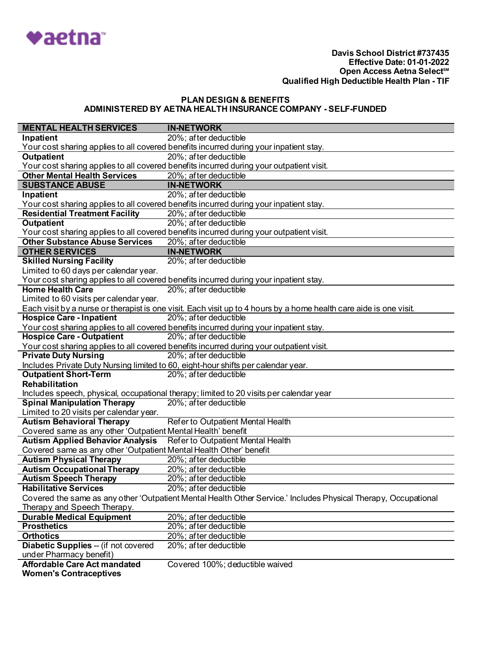

| <b>MENTAL HEALTH SERVICES</b>                                      | <b>IN-NETWORK</b>                                                                                                  |
|--------------------------------------------------------------------|--------------------------------------------------------------------------------------------------------------------|
| Inpatient                                                          | 20%; after deductible                                                                                              |
|                                                                    | Your cost sharing applies to all covered benefits incurred during your inpatient stay.                             |
| <b>Outpatient</b>                                                  | 20%; after deductible                                                                                              |
|                                                                    | Your cost sharing applies to all covered benefits incurred during your outpatient visit.                           |
| <b>Other Mental Health Services</b>                                | 20%; after deductible                                                                                              |
| <b>SUBSTANCE ABUSE</b>                                             | <b>IN-NETWORK</b>                                                                                                  |
| Inpatient                                                          | 20%; after deductible                                                                                              |
|                                                                    | Your cost sharing applies to all covered benefits incurred during your inpatient stay.                             |
| <b>Residential Treatment Facility</b>                              | 20%; after deductible                                                                                              |
| <b>Outpatient</b>                                                  | 20%; after deductible                                                                                              |
|                                                                    | Your cost sharing applies to all covered benefits incurred during your outpatient visit.                           |
| <b>Other Substance Abuse Services</b>                              | 20%; after deductible                                                                                              |
| <b>OTHER SERVICES</b>                                              | <b>IN-NETWORK</b>                                                                                                  |
| <b>Skilled Nursing Facility</b>                                    | 20%; after deductible                                                                                              |
| Limited to 60 days per calendar year.                              |                                                                                                                    |
|                                                                    | Your cost sharing applies to all covered benefits incurred during your inpatient stay.                             |
| <b>Home Health Care</b>                                            | 20%; after deductible                                                                                              |
| Limited to 60 visits per calendar year.                            |                                                                                                                    |
|                                                                    | Each visit by a nurse or therapist is one visit. Each visit up to 4 hours by a home health care aide is one visit. |
| <b>Hospice Care - Inpatient</b>                                    | 20%; after deductible                                                                                              |
|                                                                    | Your cost sharing applies to all covered benefits incurred during your inpatient stay.                             |
| <b>Hospice Care - Outpatient</b>                                   | 20%; after deductible                                                                                              |
|                                                                    | Your cost sharing applies to all covered benefits incurred during your outpatient visit.                           |
| <b>Private Duty Nursing</b>                                        | 20%; after deductible                                                                                              |
|                                                                    | Includes Private Duty Nursing limited to 60, eight-hour shifts per calendar year.                                  |
| <b>Outpatient Short-Term</b>                                       | 20%; after deductible                                                                                              |
| Rehabilitation                                                     |                                                                                                                    |
|                                                                    | Includes speech, physical, occupational therapy; limited to 20 visits per calendar year                            |
| <b>Spinal Manipulation Therapy</b>                                 | 20%; after deductible                                                                                              |
| Limited to 20 visits per calendar year.                            |                                                                                                                    |
| <b>Autism Behavioral Therapy</b>                                   | Refer to Outpatient Mental Health                                                                                  |
| Covered same as any other 'Outpatient Mental Health' benefit       |                                                                                                                    |
| <b>Autism Applied Behavior Analysis</b>                            | Refer to Outpatient Mental Health                                                                                  |
| Covered same as any other 'Outpatient Mental Health Other' benefit |                                                                                                                    |
| <b>Autism Physical Therapy</b>                                     | 20%; after deductible                                                                                              |
| <b>Autism Occupational Therapy</b>                                 | 20%; after deductible                                                                                              |
| <b>Autism Speech Therapy</b>                                       | 20%; after deductible                                                                                              |
| <b>Habilitative Services</b>                                       | 20%; after deductible                                                                                              |
|                                                                    | Covered the same as any other 'Outpatient Mental Health Other Service.' Includes Physical Therapy, Occupational    |
| Therapy and Speech Therapy.                                        |                                                                                                                    |
| <b>Durable Medical Equipment</b>                                   | 20%; after deductible                                                                                              |
| <b>Prosthetics</b>                                                 | 20%; after deductible                                                                                              |
| <b>Orthotics</b>                                                   | 20%; after deductible                                                                                              |
| Diabetic Supplies -- (if not covered                               | 20%; after deductible                                                                                              |
| under Pharmacy benefit)                                            |                                                                                                                    |
| <b>Affordable Care Act mandated</b>                                | Covered 100%; deductible waived                                                                                    |
| <b>Women's Contraceptives</b>                                      |                                                                                                                    |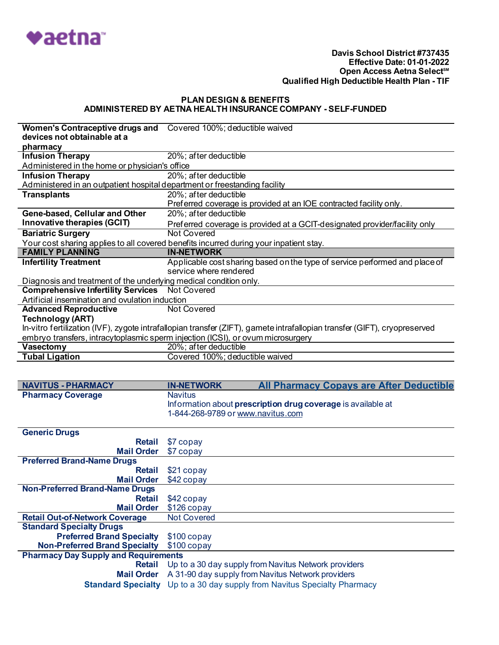

| Women's Contraceptive drugs and Covered 100%; deductible waived<br>devices not obtainable at a |                                                                                                                           |  |
|------------------------------------------------------------------------------------------------|---------------------------------------------------------------------------------------------------------------------------|--|
| pharmacy                                                                                       |                                                                                                                           |  |
| <b>Infusion Therapy</b>                                                                        | 20%; after deductible                                                                                                     |  |
| Administered in the home or physician's office                                                 |                                                                                                                           |  |
| <b>Infusion Therapy</b>                                                                        | 20%; after deductible                                                                                                     |  |
| Administered in an outpatient hospital department or freestanding facility                     |                                                                                                                           |  |
| <b>Transplants</b>                                                                             | 20%; after deductible                                                                                                     |  |
|                                                                                                | Preferred coverage is provided at an IOE contracted facility only.                                                        |  |
| Gene-based, Cellular and Other                                                                 | 20%; after deductible                                                                                                     |  |
| Innovative therapies (GCIT)                                                                    | Preferred coverage is provided at a GCIT-designated provider/facility only                                                |  |
| <b>Bariatric Surgery</b>                                                                       | Not Covered                                                                                                               |  |
| Your cost sharing applies to all covered benefits incurred during your inpatient stay.         |                                                                                                                           |  |
|                                                                                                |                                                                                                                           |  |
| <b>FAMILY PLANNING</b>                                                                         | <b>IN-NETWORK</b>                                                                                                         |  |
| <b>Infertility Treatment</b>                                                                   | Applicable cost sharing based on the type of service performed and place of                                               |  |
|                                                                                                | service where rendered                                                                                                    |  |
| Diagnosis and treatment of the underlying medical condition only.                              |                                                                                                                           |  |
| <b>Comprehensive Infertility Services</b> Not Covered                                          |                                                                                                                           |  |
| Artificial insemination and ovulation induction                                                |                                                                                                                           |  |
| <b>Advanced Reproductive</b>                                                                   | Not Covered                                                                                                               |  |
| <b>Technology (ART)</b>                                                                        |                                                                                                                           |  |
|                                                                                                | In-vitro fertilization (IVF), zygote intrafallopian transfer (ZIFT), gamete intrafallopian transfer (GIFT), cryopreserved |  |
|                                                                                                | embryo transfers, intracytoplasmic sperm injection (ICSI), or ovum microsurgery                                           |  |
| <b>Vasectomy</b>                                                                               | 20%; after deductible                                                                                                     |  |
| <b>Tubal Ligation</b>                                                                          | Covered 100%; deductible waived                                                                                           |  |
|                                                                                                |                                                                                                                           |  |

| <b>NAVITUS - PHARMACY</b> | <b>IN-NETWORK</b>                                                   | <b>All Pharmacy Copays are After Deductible</b> |  |  |
|---------------------------|---------------------------------------------------------------------|-------------------------------------------------|--|--|
| <b>Pharmacy Coverage</b>  | Navitus                                                             |                                                 |  |  |
|                           | Information about <b>prescription drug coverage</b> is available at |                                                 |  |  |
|                           | 1-844-268-9789 or www.navitus.com                                   |                                                 |  |  |

| <b>Generic Drugs</b>                        |                                                                                 |
|---------------------------------------------|---------------------------------------------------------------------------------|
| Retail                                      | \$7 copay                                                                       |
| <b>Mail Order</b>                           | \$7 copay                                                                       |
| <b>Preferred Brand-Name Drugs</b>           |                                                                                 |
| <b>Retail</b>                               | \$21 copay                                                                      |
| <b>Mail Order</b>                           | \$42 copay                                                                      |
| <b>Non-Preferred Brand-Name Drugs</b>       |                                                                                 |
| Retail                                      | \$42 copay                                                                      |
| <b>Mail Order</b>                           | \$126 copay                                                                     |
| <b>Retail Out-of-Network Coverage</b>       | <b>Not Covered</b>                                                              |
| <b>Standard Specialty Drugs</b>             |                                                                                 |
| <b>Preferred Brand Specialty</b>            | \$100 copay                                                                     |
| <b>Non-Preferred Brand Specialty</b>        | $$100$ copay                                                                    |
| <b>Pharmacy Day Supply and Requirements</b> |                                                                                 |
| Retail                                      | Up to a 30 day supply from Navitus Network providers                            |
| <b>Mail Order</b>                           | A 31-90 day supply from Navitus Network providers                               |
|                                             | <b>Standard Specialty</b> Up to a 30 day supply from Navitus Specialty Pharmacy |
|                                             |                                                                                 |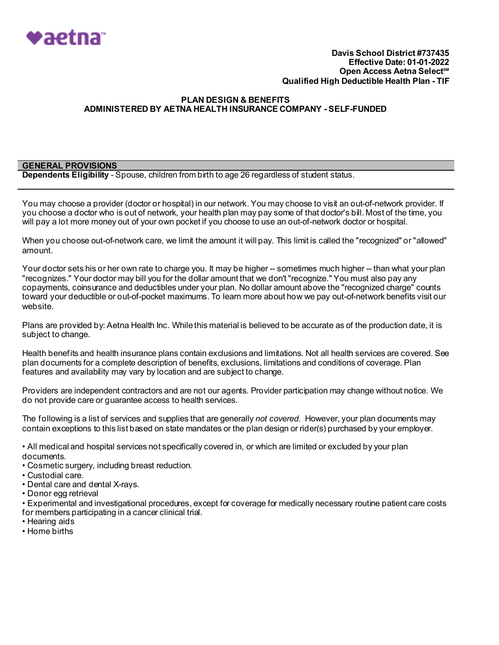

### **PLAN DESIGN & BENEFITS ADMINISTERED BY AETNA HEALTH INSURANCE COMPANY - SELF-FUNDED**

# **GENERAL PROVISIONS**

**Dependents Eligibility** - Spouse, children from birth to age 26 regardless of student status.

You may choose a provider (doctor or hospital) in our network. You may choose to visit an out-of-network provider. If you choose a doctor who is out of network, your health plan may pay some of that doctor's bill. Most of the time, you will pay a lot more money out of your own pocket if you choose to use an out-of-network doctor or hospital.

When you choose out-of-network care, we limit the amount it will pay. This limit is called the "recognized" or "allowed" amount.

Your doctor sets his or her own rate to charge you. It may be higher -- sometimes much higher -- than what your plan "recognizes." Your doctor may bill you for the dollar amount that we don't "recognize." You must also pay any copayments, coinsurance and deductibles under your plan. No dollar amount above the "recognized charge" counts toward your deductible or out-of-pocket maximums. To learn more about how we pay out-of-network benefits visit our website.

Plans are provided by: Aetna Health Inc. While this material is believed to be accurate as of the production date, it is subject to change.

Health benefits and health insurance plans contain exclusions and limitations. Not all health services are covered. See plan documents for a complete description of benefits, exclusions, limitations and conditions of coverage. Plan features and availability may vary by location and are subject to change.

Providers are independent contractors and are not our agents. Provider participation may change without notice. We do not provide care or guarantee access to health services.

The following is a list of services and supplies that are generally *not covered*. However, your plan documents may contain exceptions to this list based on state mandates or the plan design or rider(s) purchased by your employer.

• All medical and hospital services not specifically covered in, or which are limited or excluded by your plan documents.

- Cosmetic surgery, including breast reduction.
- Custodial care.
- Dental care and dental X-rays.
- Donor egg retrieval

• Experimental and investigational procedures, except for coverage for medically necessary routine patient care costs for members participating in a cancer clinical trial.

- Hearing aids
- Home births